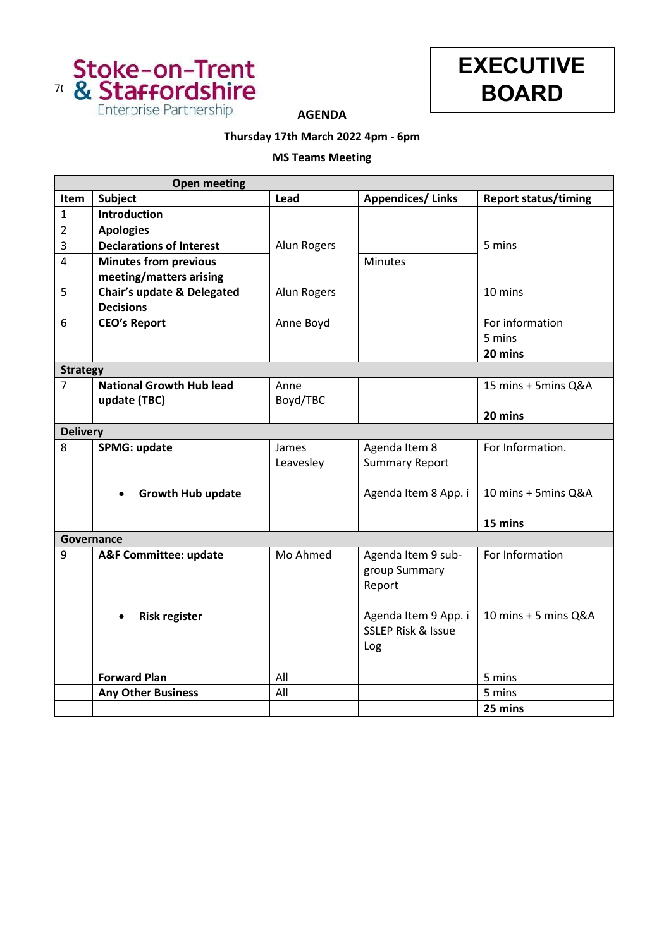



**AGENDA**

## **Thursday 17th March 2022 4pm - 6pm**

## **MS Teams Meeting**

| Subject<br><b>Appendices/Links</b><br>Item<br>Lead<br><b>Report status/timing</b><br><b>Introduction</b><br>$\mathbf{1}$<br><b>Apologies</b><br>$\overline{2}$<br><b>Declarations of Interest</b><br>3<br><b>Alun Rogers</b><br>5 mins<br>$\overline{4}$<br><b>Minutes from previous</b><br><b>Minutes</b><br>meeting/matters arising<br>5<br>Chair's update & Delegated<br>10 mins<br>Alun Rogers<br><b>Decisions</b><br>For information<br><b>CEO's Report</b><br>6<br>Anne Boyd<br>5 mins<br>20 mins<br><b>Strategy</b><br>$\overline{7}$<br><b>National Growth Hub lead</b><br>15 mins + 5mins Q&A<br>Anne<br>update (TBC)<br>Boyd/TBC<br>20 mins<br><b>Delivery</b><br>8<br><b>SPMG: update</b><br>Agenda Item 8<br>For Information.<br>James<br><b>Summary Report</b><br>Leavesley<br>Agenda Item 8 App. i<br>10 mins + 5mins Q&A<br><b>Growth Hub update</b><br>15 mins<br>Governance<br>Mo Ahmed<br>For Information<br>9<br><b>A&amp;F Committee: update</b><br>Agenda Item 9 sub-<br>group Summary<br>Report<br>Agenda Item 9 App. i<br>10 mins + 5 mins Q&A<br><b>Risk register</b><br><b>SSLEP Risk &amp; Issue</b><br>Log<br><b>Forward Plan</b><br>All<br>5 mins<br>All<br><b>Any Other Business</b><br>5 mins |  | <b>Open meeting</b> |  |  |  |  |  |
|-----------------------------------------------------------------------------------------------------------------------------------------------------------------------------------------------------------------------------------------------------------------------------------------------------------------------------------------------------------------------------------------------------------------------------------------------------------------------------------------------------------------------------------------------------------------------------------------------------------------------------------------------------------------------------------------------------------------------------------------------------------------------------------------------------------------------------------------------------------------------------------------------------------------------------------------------------------------------------------------------------------------------------------------------------------------------------------------------------------------------------------------------------------------------------------------------------------------------------|--|---------------------|--|--|--|--|--|
|                                                                                                                                                                                                                                                                                                                                                                                                                                                                                                                                                                                                                                                                                                                                                                                                                                                                                                                                                                                                                                                                                                                                                                                                                             |  |                     |  |  |  |  |  |
|                                                                                                                                                                                                                                                                                                                                                                                                                                                                                                                                                                                                                                                                                                                                                                                                                                                                                                                                                                                                                                                                                                                                                                                                                             |  |                     |  |  |  |  |  |
|                                                                                                                                                                                                                                                                                                                                                                                                                                                                                                                                                                                                                                                                                                                                                                                                                                                                                                                                                                                                                                                                                                                                                                                                                             |  |                     |  |  |  |  |  |
|                                                                                                                                                                                                                                                                                                                                                                                                                                                                                                                                                                                                                                                                                                                                                                                                                                                                                                                                                                                                                                                                                                                                                                                                                             |  |                     |  |  |  |  |  |
|                                                                                                                                                                                                                                                                                                                                                                                                                                                                                                                                                                                                                                                                                                                                                                                                                                                                                                                                                                                                                                                                                                                                                                                                                             |  |                     |  |  |  |  |  |
|                                                                                                                                                                                                                                                                                                                                                                                                                                                                                                                                                                                                                                                                                                                                                                                                                                                                                                                                                                                                                                                                                                                                                                                                                             |  |                     |  |  |  |  |  |
|                                                                                                                                                                                                                                                                                                                                                                                                                                                                                                                                                                                                                                                                                                                                                                                                                                                                                                                                                                                                                                                                                                                                                                                                                             |  |                     |  |  |  |  |  |
|                                                                                                                                                                                                                                                                                                                                                                                                                                                                                                                                                                                                                                                                                                                                                                                                                                                                                                                                                                                                                                                                                                                                                                                                                             |  |                     |  |  |  |  |  |
|                                                                                                                                                                                                                                                                                                                                                                                                                                                                                                                                                                                                                                                                                                                                                                                                                                                                                                                                                                                                                                                                                                                                                                                                                             |  |                     |  |  |  |  |  |
|                                                                                                                                                                                                                                                                                                                                                                                                                                                                                                                                                                                                                                                                                                                                                                                                                                                                                                                                                                                                                                                                                                                                                                                                                             |  |                     |  |  |  |  |  |
|                                                                                                                                                                                                                                                                                                                                                                                                                                                                                                                                                                                                                                                                                                                                                                                                                                                                                                                                                                                                                                                                                                                                                                                                                             |  |                     |  |  |  |  |  |
|                                                                                                                                                                                                                                                                                                                                                                                                                                                                                                                                                                                                                                                                                                                                                                                                                                                                                                                                                                                                                                                                                                                                                                                                                             |  |                     |  |  |  |  |  |
|                                                                                                                                                                                                                                                                                                                                                                                                                                                                                                                                                                                                                                                                                                                                                                                                                                                                                                                                                                                                                                                                                                                                                                                                                             |  |                     |  |  |  |  |  |
|                                                                                                                                                                                                                                                                                                                                                                                                                                                                                                                                                                                                                                                                                                                                                                                                                                                                                                                                                                                                                                                                                                                                                                                                                             |  |                     |  |  |  |  |  |
|                                                                                                                                                                                                                                                                                                                                                                                                                                                                                                                                                                                                                                                                                                                                                                                                                                                                                                                                                                                                                                                                                                                                                                                                                             |  |                     |  |  |  |  |  |
|                                                                                                                                                                                                                                                                                                                                                                                                                                                                                                                                                                                                                                                                                                                                                                                                                                                                                                                                                                                                                                                                                                                                                                                                                             |  |                     |  |  |  |  |  |
|                                                                                                                                                                                                                                                                                                                                                                                                                                                                                                                                                                                                                                                                                                                                                                                                                                                                                                                                                                                                                                                                                                                                                                                                                             |  |                     |  |  |  |  |  |
|                                                                                                                                                                                                                                                                                                                                                                                                                                                                                                                                                                                                                                                                                                                                                                                                                                                                                                                                                                                                                                                                                                                                                                                                                             |  |                     |  |  |  |  |  |
|                                                                                                                                                                                                                                                                                                                                                                                                                                                                                                                                                                                                                                                                                                                                                                                                                                                                                                                                                                                                                                                                                                                                                                                                                             |  |                     |  |  |  |  |  |
|                                                                                                                                                                                                                                                                                                                                                                                                                                                                                                                                                                                                                                                                                                                                                                                                                                                                                                                                                                                                                                                                                                                                                                                                                             |  |                     |  |  |  |  |  |
|                                                                                                                                                                                                                                                                                                                                                                                                                                                                                                                                                                                                                                                                                                                                                                                                                                                                                                                                                                                                                                                                                                                                                                                                                             |  |                     |  |  |  |  |  |
|                                                                                                                                                                                                                                                                                                                                                                                                                                                                                                                                                                                                                                                                                                                                                                                                                                                                                                                                                                                                                                                                                                                                                                                                                             |  |                     |  |  |  |  |  |
|                                                                                                                                                                                                                                                                                                                                                                                                                                                                                                                                                                                                                                                                                                                                                                                                                                                                                                                                                                                                                                                                                                                                                                                                                             |  |                     |  |  |  |  |  |
|                                                                                                                                                                                                                                                                                                                                                                                                                                                                                                                                                                                                                                                                                                                                                                                                                                                                                                                                                                                                                                                                                                                                                                                                                             |  |                     |  |  |  |  |  |
|                                                                                                                                                                                                                                                                                                                                                                                                                                                                                                                                                                                                                                                                                                                                                                                                                                                                                                                                                                                                                                                                                                                                                                                                                             |  |                     |  |  |  |  |  |
|                                                                                                                                                                                                                                                                                                                                                                                                                                                                                                                                                                                                                                                                                                                                                                                                                                                                                                                                                                                                                                                                                                                                                                                                                             |  |                     |  |  |  |  |  |
|                                                                                                                                                                                                                                                                                                                                                                                                                                                                                                                                                                                                                                                                                                                                                                                                                                                                                                                                                                                                                                                                                                                                                                                                                             |  |                     |  |  |  |  |  |
|                                                                                                                                                                                                                                                                                                                                                                                                                                                                                                                                                                                                                                                                                                                                                                                                                                                                                                                                                                                                                                                                                                                                                                                                                             |  |                     |  |  |  |  |  |
|                                                                                                                                                                                                                                                                                                                                                                                                                                                                                                                                                                                                                                                                                                                                                                                                                                                                                                                                                                                                                                                                                                                                                                                                                             |  |                     |  |  |  |  |  |
|                                                                                                                                                                                                                                                                                                                                                                                                                                                                                                                                                                                                                                                                                                                                                                                                                                                                                                                                                                                                                                                                                                                                                                                                                             |  |                     |  |  |  |  |  |
|                                                                                                                                                                                                                                                                                                                                                                                                                                                                                                                                                                                                                                                                                                                                                                                                                                                                                                                                                                                                                                                                                                                                                                                                                             |  |                     |  |  |  |  |  |
|                                                                                                                                                                                                                                                                                                                                                                                                                                                                                                                                                                                                                                                                                                                                                                                                                                                                                                                                                                                                                                                                                                                                                                                                                             |  |                     |  |  |  |  |  |
| 25 mins                                                                                                                                                                                                                                                                                                                                                                                                                                                                                                                                                                                                                                                                                                                                                                                                                                                                                                                                                                                                                                                                                                                                                                                                                     |  |                     |  |  |  |  |  |